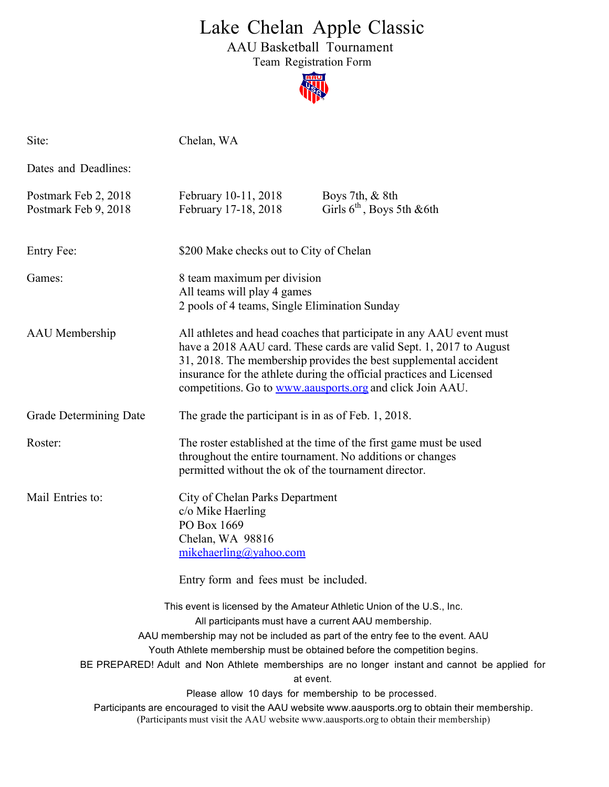## Lake Chelan Apple Classic

AAU Basketball Tournament

Team Registration Form



| Site:                                                                                  | Chelan, WA                                                                                                                                                                                                                                                                                                                                           |                                                                                                                                                                                                                                                                                                                                                                                                                                             |  |  |
|----------------------------------------------------------------------------------------|------------------------------------------------------------------------------------------------------------------------------------------------------------------------------------------------------------------------------------------------------------------------------------------------------------------------------------------------------|---------------------------------------------------------------------------------------------------------------------------------------------------------------------------------------------------------------------------------------------------------------------------------------------------------------------------------------------------------------------------------------------------------------------------------------------|--|--|
| Dates and Deadlines:                                                                   |                                                                                                                                                                                                                                                                                                                                                      |                                                                                                                                                                                                                                                                                                                                                                                                                                             |  |  |
| Postmark Feb 2, 2018<br>Postmark Feb 9, 2018                                           | February 10-11, 2018<br>February 17-18, 2018                                                                                                                                                                                                                                                                                                         | Boys 7th, $& 8th$<br>Girls $6th$ , Boys 5th & 6th                                                                                                                                                                                                                                                                                                                                                                                           |  |  |
| Entry Fee:                                                                             | \$200 Make checks out to City of Chelan                                                                                                                                                                                                                                                                                                              |                                                                                                                                                                                                                                                                                                                                                                                                                                             |  |  |
| Games:                                                                                 | 8 team maximum per division<br>All teams will play 4 games<br>2 pools of 4 teams, Single Elimination Sunday                                                                                                                                                                                                                                          |                                                                                                                                                                                                                                                                                                                                                                                                                                             |  |  |
| AAU Membership                                                                         | All athletes and head coaches that participate in any AAU event must<br>have a 2018 AAU card. These cards are valid Sept. 1, 2017 to August<br>31, 2018. The membership provides the best supplemental accident<br>insurance for the athlete during the official practices and Licensed<br>competitions. Go to www.aausports.org and click Join AAU. |                                                                                                                                                                                                                                                                                                                                                                                                                                             |  |  |
| Grade Determining Date                                                                 | The grade the participant is in as of Feb. 1, 2018.                                                                                                                                                                                                                                                                                                  |                                                                                                                                                                                                                                                                                                                                                                                                                                             |  |  |
| Roster:                                                                                | The roster established at the time of the first game must be used<br>throughout the entire tournament. No additions or changes<br>permitted without the ok of the tournament director.                                                                                                                                                               |                                                                                                                                                                                                                                                                                                                                                                                                                                             |  |  |
| Mail Entries to:                                                                       | City of Chelan Parks Department<br>c/o Mike Haerling<br>PO Box 1669<br>Chelan, WA 98816<br>mikehaerling@yahoo.com                                                                                                                                                                                                                                    |                                                                                                                                                                                                                                                                                                                                                                                                                                             |  |  |
| Entry form and fees must be included.                                                  |                                                                                                                                                                                                                                                                                                                                                      |                                                                                                                                                                                                                                                                                                                                                                                                                                             |  |  |
|                                                                                        | All participants must have a current AAU membership.<br>at event.<br>Please allow 10 days for membership to be processed.                                                                                                                                                                                                                            | This event is licensed by the Amateur Athletic Union of the U.S., Inc.<br>AAU membership may not be included as part of the entry fee to the event. AAU<br>Youth Athlete membership must be obtained before the competition begins.<br>BE PREPARED! Adult and Non Athlete memberships are no longer instant and cannot be applied for<br>Participants are encouraged to visit the AAU website www.aausports.org to obtain their membership. |  |  |
| (Participants must visit the AAU website www.aausports.org to obtain their membership) |                                                                                                                                                                                                                                                                                                                                                      |                                                                                                                                                                                                                                                                                                                                                                                                                                             |  |  |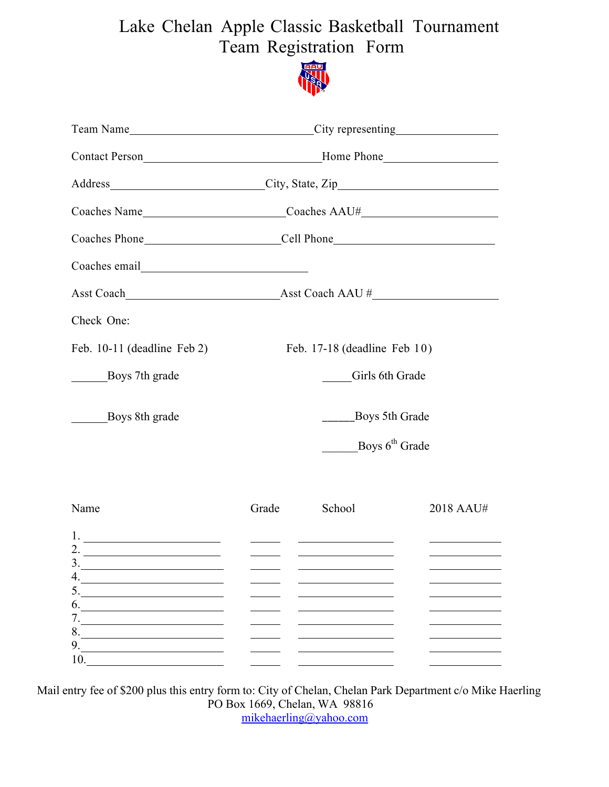## Lake Chelan Apple Classic Basketball Tournament Team Registration Form



|                                                                                                                                                                                                                                                                                                                                                                                                                                                                                                                         | Team Name <u>City</u> representing City expresenting City expresenting Leam Name Leam Name Leam Name Leam Name Leam Name Leam Name Leam Name Leam Name Leam Leam Name Leam Leam Name Leam Leam Name Leam Leam Leam Leam Leam Leam L |                                                                                                                                                        |                                                                                                                                                                                                                                      |  |
|-------------------------------------------------------------------------------------------------------------------------------------------------------------------------------------------------------------------------------------------------------------------------------------------------------------------------------------------------------------------------------------------------------------------------------------------------------------------------------------------------------------------------|-------------------------------------------------------------------------------------------------------------------------------------------------------------------------------------------------------------------------------------|--------------------------------------------------------------------------------------------------------------------------------------------------------|--------------------------------------------------------------------------------------------------------------------------------------------------------------------------------------------------------------------------------------|--|
|                                                                                                                                                                                                                                                                                                                                                                                                                                                                                                                         | Contact Person<br><u>Home Phone</u>                                                                                                                                                                                                 |                                                                                                                                                        |                                                                                                                                                                                                                                      |  |
|                                                                                                                                                                                                                                                                                                                                                                                                                                                                                                                         | Address City, State, Zip                                                                                                                                                                                                            |                                                                                                                                                        |                                                                                                                                                                                                                                      |  |
|                                                                                                                                                                                                                                                                                                                                                                                                                                                                                                                         |                                                                                                                                                                                                                                     |                                                                                                                                                        |                                                                                                                                                                                                                                      |  |
|                                                                                                                                                                                                                                                                                                                                                                                                                                                                                                                         |                                                                                                                                                                                                                                     |                                                                                                                                                        |                                                                                                                                                                                                                                      |  |
|                                                                                                                                                                                                                                                                                                                                                                                                                                                                                                                         |                                                                                                                                                                                                                                     |                                                                                                                                                        |                                                                                                                                                                                                                                      |  |
|                                                                                                                                                                                                                                                                                                                                                                                                                                                                                                                         |                                                                                                                                                                                                                                     |                                                                                                                                                        |                                                                                                                                                                                                                                      |  |
| Check One:                                                                                                                                                                                                                                                                                                                                                                                                                                                                                                              |                                                                                                                                                                                                                                     |                                                                                                                                                        |                                                                                                                                                                                                                                      |  |
| Feb. 10-11 (deadline Feb 2)                                                                                                                                                                                                                                                                                                                                                                                                                                                                                             | Feb. 17-18 (deadline Feb 10)                                                                                                                                                                                                        |                                                                                                                                                        |                                                                                                                                                                                                                                      |  |
| Boys 7th grade                                                                                                                                                                                                                                                                                                                                                                                                                                                                                                          |                                                                                                                                                                                                                                     | Girls 6th Grade                                                                                                                                        |                                                                                                                                                                                                                                      |  |
| Boys 8th grade                                                                                                                                                                                                                                                                                                                                                                                                                                                                                                          | Boys 5th Grade                                                                                                                                                                                                                      |                                                                                                                                                        |                                                                                                                                                                                                                                      |  |
|                                                                                                                                                                                                                                                                                                                                                                                                                                                                                                                         | Boys $6th$ Grade                                                                                                                                                                                                                    |                                                                                                                                                        |                                                                                                                                                                                                                                      |  |
| Name                                                                                                                                                                                                                                                                                                                                                                                                                                                                                                                    | Grade                                                                                                                                                                                                                               | School                                                                                                                                                 | 2018 AAU#                                                                                                                                                                                                                            |  |
| 1. $\overline{\phantom{a}}$ $\overline{\phantom{a}}$ $\overline{\phantom{a}}$ $\overline{\phantom{a}}$ $\overline{\phantom{a}}$ $\overline{\phantom{a}}$ $\overline{\phantom{a}}$ $\overline{\phantom{a}}$ $\overline{\phantom{a}}$ $\overline{\phantom{a}}$ $\overline{\phantom{a}}$ $\overline{\phantom{a}}$ $\overline{\phantom{a}}$ $\overline{\phantom{a}}$ $\overline{\phantom{a}}$ $\overline{\phantom{a}}$ $\overline{\phantom{a}}$ $\overline{\phantom{a}}$ $\$<br>2. $\qquad \qquad$<br>4.<br>5.<br>6.<br>7.1 | <u> 1999 - Jan James Barnett, fransk politiker (</u>                                                                                                                                                                                | <u> 1980 - Andrea Barbara, poeta esperanto en la provincia de la provincia de la provincia de la provincia de la p</u><br><u> Alexandria (m. 1858)</u> | <u>and the state of the state of the state of the state of the state of the state of the state of the state of the state of the state of the state of the state of the state of the state of the state of the state of the state</u> |  |
| 8.<br>9.<br>10.                                                                                                                                                                                                                                                                                                                                                                                                                                                                                                         |                                                                                                                                                                                                                                     |                                                                                                                                                        |                                                                                                                                                                                                                                      |  |

Mail entry fee of \$200 plus this entry form to: City of Chelan, Chelan Park Department c/o Mike Haerling PO Box 1669, Chelan, WA 98816 mikehaerling@yahoo.com